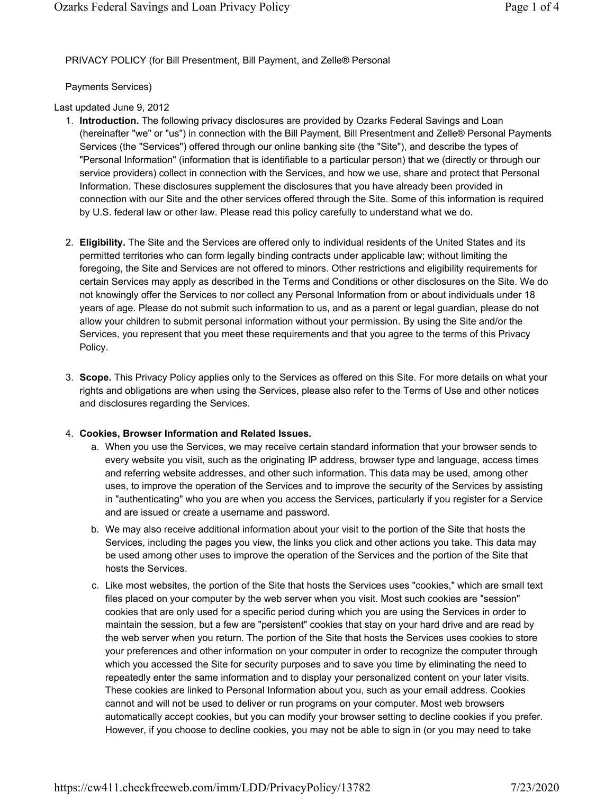PRIVACY POLICY (for Bill Presentment, Bill Payment, and Zelle® Personal

Payments Services)

Last updated June 9, 2012

- 1. **Introduction.** The following privacy disclosures are provided by Ozarks Federal Savings and Loan (hereinafter "we" or "us") in connection with the Bill Payment, Bill Presentment and Zelle® Personal Payments Services (the "Services") offered through our online banking site (the "Site"), and describe the types of "Personal Information" (information that is identifiable to a particular person) that we (directly or through our service providers) collect in connection with the Services, and how we use, share and protect that Personal Information. These disclosures supplement the disclosures that you have already been provided in connection with our Site and the other services offered through the Site. Some of this information is required by U.S. federal law or other law. Please read this policy carefully to understand what we do.
- 2. **Eligibility.** The Site and the Services are offered only to individual residents of the United States and its permitted territories who can form legally binding contracts under applicable law; without limiting the foregoing, the Site and Services are not offered to minors. Other restrictions and eligibility requirements for certain Services may apply as described in the Terms and Conditions or other disclosures on the Site. We do not knowingly offer the Services to nor collect any Personal Information from or about individuals under 18 years of age. Please do not submit such information to us, and as a parent or legal guardian, please do not allow your children to submit personal information without your permission. By using the Site and/or the Services, you represent that you meet these requirements and that you agree to the terms of this Privacy Policy.
- 3. **Scope.** This Privacy Policy applies only to the Services as offered on this Site. For more details on what your rights and obligations are when using the Services, please also refer to the Terms of Use and other notices and disclosures regarding the Services.

## 4. **Cookies, Browser Information and Related Issues.**

- a. When you use the Services, we may receive certain standard information that your browser sends to every website you visit, such as the originating IP address, browser type and language, access times and referring website addresses, and other such information. This data may be used, among other uses, to improve the operation of the Services and to improve the security of the Services by assisting in "authenticating" who you are when you access the Services, particularly if you register for a Service and are issued or create a username and password.
- b. We may also receive additional information about your visit to the portion of the Site that hosts the Services, including the pages you view, the links you click and other actions you take. This data may be used among other uses to improve the operation of the Services and the portion of the Site that hosts the Services.
- c. Like most websites, the portion of the Site that hosts the Services uses "cookies," which are small text files placed on your computer by the web server when you visit. Most such cookies are "session" cookies that are only used for a specific period during which you are using the Services in order to maintain the session, but a few are "persistent" cookies that stay on your hard drive and are read by the web server when you return. The portion of the Site that hosts the Services uses cookies to store your preferences and other information on your computer in order to recognize the computer through which you accessed the Site for security purposes and to save you time by eliminating the need to repeatedly enter the same information and to display your personalized content on your later visits. These cookies are linked to Personal Information about you, such as your email address. Cookies cannot and will not be used to deliver or run programs on your computer. Most web browsers automatically accept cookies, but you can modify your browser setting to decline cookies if you prefer. However, if you choose to decline cookies, you may not be able to sign in (or you may need to take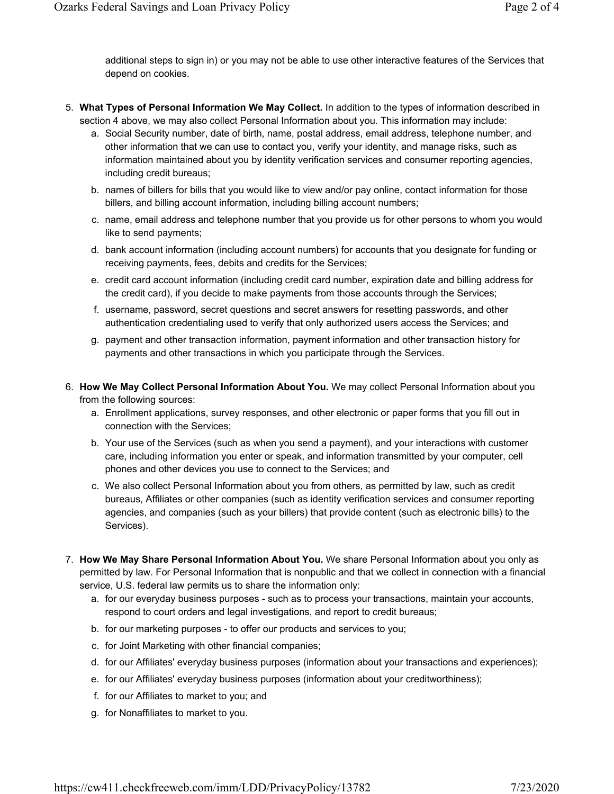additional steps to sign in) or you may not be able to use other interactive features of the Services that depend on cookies.

- 5. **What Types of Personal Information We May Collect.** In addition to the types of information described in section 4 above, we may also collect Personal Information about you. This information may include:
	- a. Social Security number, date of birth, name, postal address, email address, telephone number, and other information that we can use to contact you, verify your identity, and manage risks, such as information maintained about you by identity verification services and consumer reporting agencies, including credit bureaus;
	- b. names of billers for bills that you would like to view and/or pay online, contact information for those billers, and billing account information, including billing account numbers;
	- c. name, email address and telephone number that you provide us for other persons to whom you would like to send payments;
	- d. bank account information (including account numbers) for accounts that you designate for funding or receiving payments, fees, debits and credits for the Services;
	- e. credit card account information (including credit card number, expiration date and billing address for the credit card), if you decide to make payments from those accounts through the Services;
	- f. username, password, secret questions and secret answers for resetting passwords, and other authentication credentialing used to verify that only authorized users access the Services; and
	- g. payment and other transaction information, payment information and other transaction history for payments and other transactions in which you participate through the Services.
- 6. **How We May Collect Personal Information About You.** We may collect Personal Information about you from the following sources:
	- a. Enrollment applications, survey responses, and other electronic or paper forms that you fill out in connection with the Services;
	- b. Your use of the Services (such as when you send a payment), and your interactions with customer care, including information you enter or speak, and information transmitted by your computer, cell phones and other devices you use to connect to the Services; and
	- c. We also collect Personal Information about you from others, as permitted by law, such as credit bureaus, Affiliates or other companies (such as identity verification services and consumer reporting agencies, and companies (such as your billers) that provide content (such as electronic bills) to the Services).
- 7. **How We May Share Personal Information About You.** We share Personal Information about you only as permitted by law. For Personal Information that is nonpublic and that we collect in connection with a financial service, U.S. federal law permits us to share the information only:
	- a. for our everyday business purposes such as to process your transactions, maintain your accounts, respond to court orders and legal investigations, and report to credit bureaus;
	- b. for our marketing purposes to offer our products and services to you;
	- c. for Joint Marketing with other financial companies;
	- d. for our Affiliates' everyday business purposes (information about your transactions and experiences);
	- e. for our Affiliates' everyday business purposes (information about your creditworthiness);
	- f. for our Affiliates to market to you; and
	- g. for Nonaffiliates to market to you.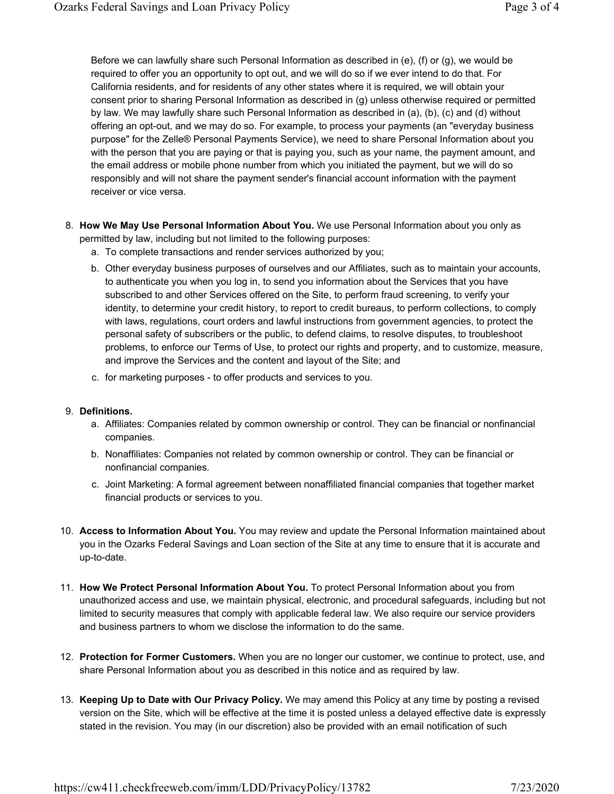Before we can lawfully share such Personal Information as described in (e), (f) or (g), we would be required to offer you an opportunity to opt out, and we will do so if we ever intend to do that. For California residents, and for residents of any other states where it is required, we will obtain your consent prior to sharing Personal Information as described in (g) unless otherwise required or permitted by law. We may lawfully share such Personal Information as described in (a), (b), (c) and (d) without offering an opt-out, and we may do so. For example, to process your payments (an "everyday business purpose" for the Zelle® Personal Payments Service), we need to share Personal Information about you with the person that you are paying or that is paying you, such as your name, the payment amount, and the email address or mobile phone number from which you initiated the payment, but we will do so responsibly and will not share the payment sender's financial account information with the payment receiver or vice versa.

- 8. **How We May Use Personal Information About You.** We use Personal Information about you only as permitted by law, including but not limited to the following purposes:
	- a. To complete transactions and render services authorized by you;
	- b. Other everyday business purposes of ourselves and our Affiliates, such as to maintain your accounts, to authenticate you when you log in, to send you information about the Services that you have subscribed to and other Services offered on the Site, to perform fraud screening, to verify your identity, to determine your credit history, to report to credit bureaus, to perform collections, to comply with laws, regulations, court orders and lawful instructions from government agencies, to protect the personal safety of subscribers or the public, to defend claims, to resolve disputes, to troubleshoot problems, to enforce our Terms of Use, to protect our rights and property, and to customize, measure, and improve the Services and the content and layout of the Site; and
	- c. for marketing purposes to offer products and services to you.

## 9. **Definitions.**

- a. Affiliates: Companies related by common ownership or control. They can be financial or nonfinancial companies.
- b. Nonaffiliates: Companies not related by common ownership or control. They can be financial or nonfinancial companies.
- c. Joint Marketing: A formal agreement between nonaffiliated financial companies that together market financial products or services to you.
- 10. **Access to Information About You.** You may review and update the Personal Information maintained about you in the Ozarks Federal Savings and Loan section of the Site at any time to ensure that it is accurate and up-to-date.
- 11. **How We Protect Personal Information About You.** To protect Personal Information about you from unauthorized access and use, we maintain physical, electronic, and procedural safeguards, including but not limited to security measures that comply with applicable federal law. We also require our service providers and business partners to whom we disclose the information to do the same.
- 12. **Protection for Former Customers.** When you are no longer our customer, we continue to protect, use, and share Personal Information about you as described in this notice and as required by law.
- 13. **Keeping Up to Date with Our Privacy Policy.** We may amend this Policy at any time by posting a revised version on the Site, which will be effective at the time it is posted unless a delayed effective date is expressly stated in the revision. You may (in our discretion) also be provided with an email notification of such